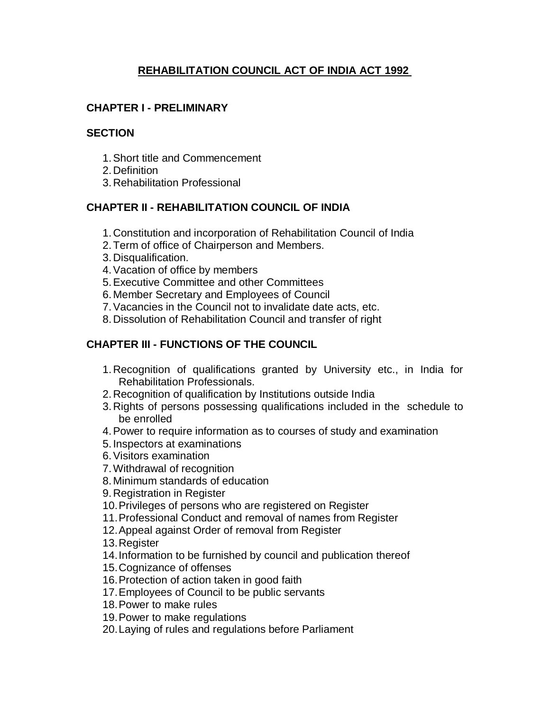# **REHABILITATION COUNCIL ACT OF INDIA ACT 1992**

## **CHAPTER I - PRELIMINARY**

### **SECTION**

- 1.Short title and Commencement
- 2.Definition
- 3.Rehabilitation Professional

## **CHAPTER II - REHABILITATION COUNCIL OF INDIA**

- 1.Constitution and incorporation of Rehabilitation Council of India
- 2.Term of office of Chairperson and Members.
- 3.Disqualification.
- 4.Vacation of office by members
- 5.Executive Committee and other Committees
- 6. Member Secretary and Employees of Council
- 7.Vacancies in the Council not to invalidate date acts, etc.
- 8.Dissolution of Rehabilitation Council and transfer of right

## **CHAPTER III - FUNCTIONS OF THE COUNCIL**

- 1.Recognition of qualifications granted by University etc., in India for Rehabilitation Professionals.
- 2.Recognition of qualification by Institutions outside India
- 3.Rights of persons possessing qualifications included in the schedule to be enrolled
- 4.Power to require information as to courses of study and examination
- 5. Inspectors at examinations
- 6.Visitors examination
- 7.Withdrawal of recognition
- 8. Minimum standards of education
- 9.Registration in Register
- 10.Privileges of persons who are registered on Register
- 11.Professional Conduct and removal of names from Register
- 12.Appeal against Order of removal from Register
- 13.Register
- 14.Information to be furnished by council and publication thereof
- 15.Cognizance of offenses
- 16.Protection of action taken in good faith
- 17.Employees of Council to be public servants
- 18.Power to make rules
- 19.Power to make regulations
- 20.Laying of rules and regulations before Parliament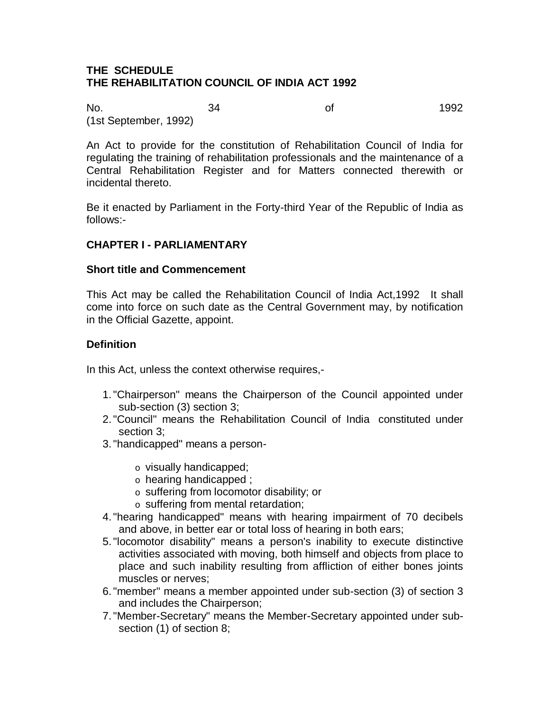## **THE SCHEDULE THE REHABILITATION COUNCIL OF INDIA ACT 1992**

No. 34 of 1992 (1st September, 1992)

An Act to provide for the constitution of Rehabilitation Council of India for regulating the training of rehabilitation professionals and the maintenance of a Central Rehabilitation Register and for Matters connected therewith or incidental thereto.

Be it enacted by Parliament in the Forty-third Year of the Republic of India as follows:-

## **CHAPTER I - PARLIAMENTARY**

#### **Short title and Commencement**

This Act may be called the Rehabilitation Council of India Act,1992 It shall come into force on such date as the Central Government may, by notification in the Official Gazette, appoint.

### **Definition**

In this Act, unless the context otherwise requires,-

- 1."Chairperson" means the Chairperson of the Council appointed under sub-section (3) section 3;
- 2."Council" means the Rehabilitation Council of India constituted under section 3;
- 3."handicapped" means a person
	- o visually handicapped;
	- o hearing handicapped ;
	- o suffering from locomotor disability; or
	- o suffering from mental retardation;
- 4."hearing handicapped" means with hearing impairment of 70 decibels and above, in better ear or total loss of hearing in both ears;
- 5."locomotor disability" means a person's inability to execute distinctive activities associated with moving, both himself and objects from place to place and such inability resulting from affliction of either bones joints muscles or nerves;
- 6."member" means a member appointed under sub-section (3) of section 3 and includes the Chairperson;
- 7."Member-Secretary" means the Member-Secretary appointed under subsection (1) of section 8;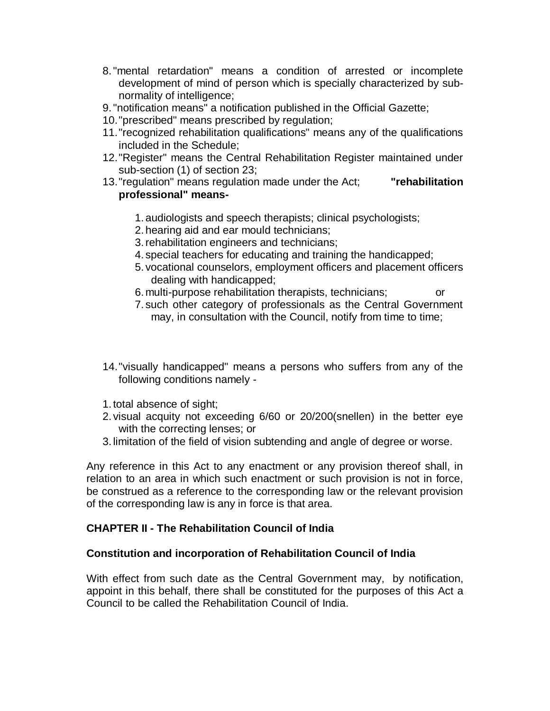- 8."mental retardation" means a condition of arrested or incomplete development of mind of person which is specially characterized by subnormality of intelligence;
- 9."notification means" a notification published in the Official Gazette;
- 10."prescribed" means prescribed by regulation;
- 11."recognized rehabilitation qualifications" means any of the qualifications included in the Schedule;
- 12."Register" means the Central Rehabilitation Register maintained under sub-section (1) of section 23;
- 13."regulation" means regulation made under the Act; **"rehabilitation professional" means-**
	- 1. audiologists and speech therapists; clinical psychologists;
	- 2. hearing aid and ear mould technicians;
	- 3.rehabilitation engineers and technicians;
	- 4. special teachers for educating and training the handicapped;
	- 5. vocational counselors, employment officers and placement officers dealing with handicapped;
	- 6. multi-purpose rehabilitation therapists, technicians; or
	- 7. such other category of professionals as the Central Government may, in consultation with the Council, notify from time to time;
- 14."visually handicapped" means a persons who suffers from any of the following conditions namely -
- 1. total absence of sight;
- 2. visual acquity not exceeding 6/60 or 20/200(snellen) in the better eye with the correcting lenses; or
- 3. limitation of the field of vision subtending and angle of degree or worse.

Any reference in this Act to any enactment or any provision thereof shall, in relation to an area in which such enactment or such provision is not in force, be construed as a reference to the corresponding law or the relevant provision of the corresponding law is any in force is that area.

## **CHAPTER II - The Rehabilitation Council of India**

### **Constitution and incorporation of Rehabilitation Council of India**

With effect from such date as the Central Government may, by notification, appoint in this behalf, there shall be constituted for the purposes of this Act a Council to be called the Rehabilitation Council of India.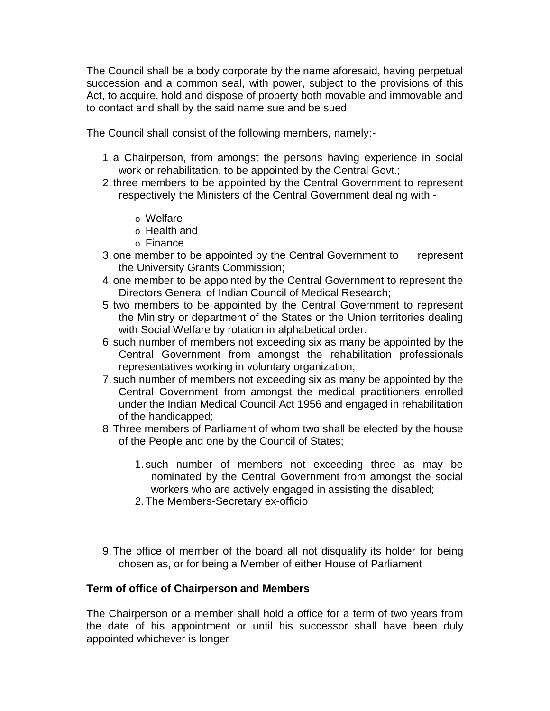The Council shall be a body corporate by the name aforesaid, having perpetual succession and a common seal, with power, subject to the provisions of this Act, to acquire, hold and dispose of property both movable and immovable and to contact and shall by the said name sue and be sued

The Council shall consist of the following members, namely:-

- 1. a Chairperson, from amongst the persons having experience in social work or rehabilitation, to be appointed by the Central Govt.;
- 2. three members to be appointed by the Central Government to represent respectively the Ministers of the Central Government dealing with
	- o Welfare
	- o Health and
	- o Finance
- 3. one member to be appointed by the Central Government to represent the University Grants Commission;
- 4. one member to be appointed by the Central Government to represent the Directors General of Indian Council of Medical Research;
- 5. two members to be appointed by the Central Government to represent the Ministry or department of the States or the Union territories dealing with Social Welfare by rotation in alphabetical order.
- 6. such number of members not exceeding six as many be appointed by the Central Government from amongst the rehabilitation professionals representatives working in voluntary organization;
- 7. such number of members not exceeding six as many be appointed by the Central Government from amongst the medical practitioners enrolled under the Indian Medical Council Act 1956 and engaged in rehabilitation of the handicapped;
- 8.Three members of Parliament of whom two shall be elected by the house of the People and one by the Council of States;
	- 1. such number of members not exceeding three as may be nominated by the Central Government from amongst the social workers who are actively engaged in assisting the disabled;
	- 2.The Members-Secretary ex-officio
- 9.The office of member of the board all not disqualify its holder for being chosen as, or for being a Member of either House of Parliament

## **Term of office of Chairperson and Members**

The Chairperson or a member shall hold a office for a term of two years from the date of his appointment or until his successor shall have been duly appointed whichever is longer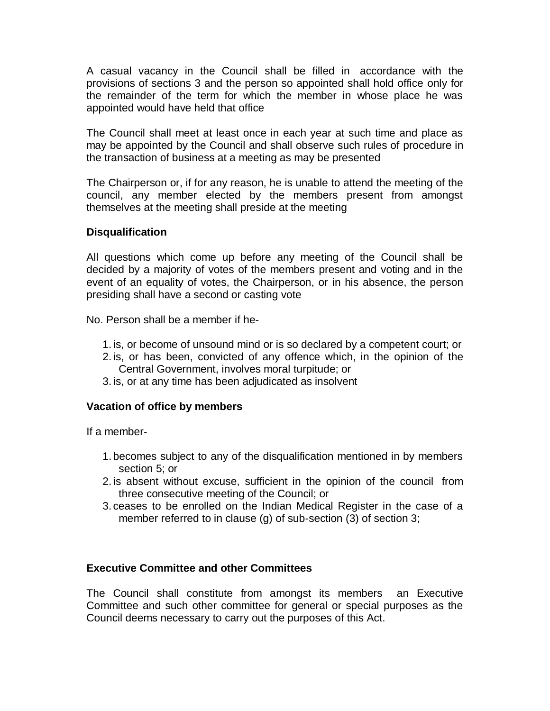A casual vacancy in the Council shall be filled in accordance with the provisions of sections 3 and the person so appointed shall hold office only for the remainder of the term for which the member in whose place he was appointed would have held that office

The Council shall meet at least once in each year at such time and place as may be appointed by the Council and shall observe such rules of procedure in the transaction of business at a meeting as may be presented

The Chairperson or, if for any reason, he is unable to attend the meeting of the council, any member elected by the members present from amongst themselves at the meeting shall preside at the meeting

### **Disqualification**

All questions which come up before any meeting of the Council shall be decided by a majority of votes of the members present and voting and in the event of an equality of votes, the Chairperson, or in his absence, the person presiding shall have a second or casting vote

No. Person shall be a member if he-

- 1. is, or become of unsound mind or is so declared by a competent court; or
- 2. is, or has been, convicted of any offence which, in the opinion of the Central Government, involves moral turpitude; or
- 3. is, or at any time has been adjudicated as insolvent

## **Vacation of office by members**

If a member-

- 1. becomes subject to any of the disqualification mentioned in by members section 5; or
- 2. is absent without excuse, sufficient in the opinion of the council from three consecutive meeting of the Council; or
- 3. ceases to be enrolled on the Indian Medical Register in the case of a member referred to in clause (g) of sub-section (3) of section 3;

### **Executive Committee and other Committees**

The Council shall constitute from amongst its members an Executive Committee and such other committee for general or special purposes as the Council deems necessary to carry out the purposes of this Act.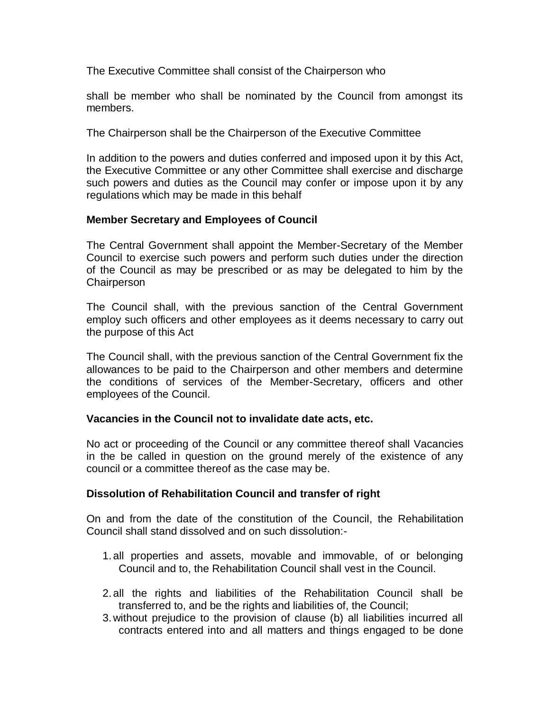The Executive Committee shall consist of the Chairperson who

shall be member who shall be nominated by the Council from amongst its members.

The Chairperson shall be the Chairperson of the Executive Committee

In addition to the powers and duties conferred and imposed upon it by this Act, the Executive Committee or any other Committee shall exercise and discharge such powers and duties as the Council may confer or impose upon it by any regulations which may be made in this behalf

### **Member Secretary and Employees of Council**

The Central Government shall appoint the Member-Secretary of the Member Council to exercise such powers and perform such duties under the direction of the Council as may be prescribed or as may be delegated to him by the **Chairperson** 

The Council shall, with the previous sanction of the Central Government employ such officers and other employees as it deems necessary to carry out the purpose of this Act

The Council shall, with the previous sanction of the Central Government fix the allowances to be paid to the Chairperson and other members and determine the conditions of services of the Member-Secretary, officers and other employees of the Council.

#### **Vacancies in the Council not to invalidate date acts, etc.**

No act or proceeding of the Council or any committee thereof shall Vacancies in the be called in question on the ground merely of the existence of any council or a committee thereof as the case may be.

### **Dissolution of Rehabilitation Council and transfer of right**

On and from the date of the constitution of the Council, the Rehabilitation Council shall stand dissolved and on such dissolution:-

- 1. all properties and assets, movable and immovable, of or belonging Council and to, the Rehabilitation Council shall vest in the Council.
- 2. all the rights and liabilities of the Rehabilitation Council shall be transferred to, and be the rights and liabilities of, the Council;
- 3.without prejudice to the provision of clause (b) all liabilities incurred all contracts entered into and all matters and things engaged to be done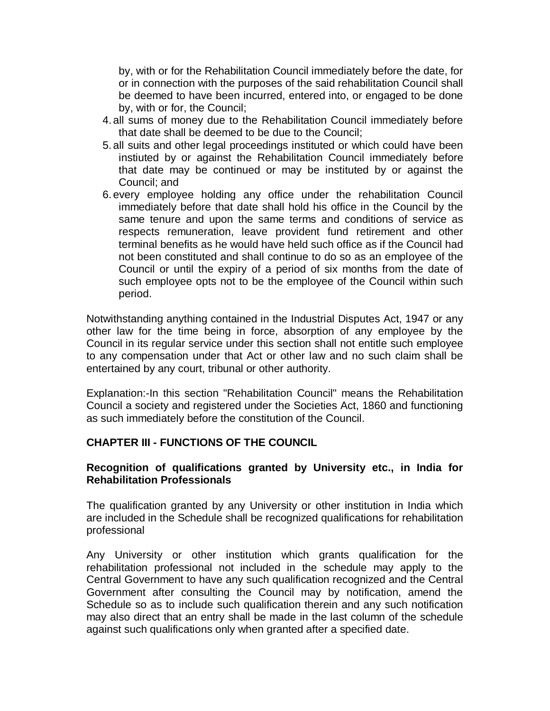by, with or for the Rehabilitation Council immediately before the date, for or in connection with the purposes of the said rehabilitation Council shall be deemed to have been incurred, entered into, or engaged to be done by, with or for, the Council;

- 4. all sums of money due to the Rehabilitation Council immediately before that date shall be deemed to be due to the Council;
- 5. all suits and other legal proceedings instituted or which could have been instiuted by or against the Rehabilitation Council immediately before that date may be continued or may be instituted by or against the Council; and
- 6. every employee holding any office under the rehabilitation Council immediately before that date shall hold his office in the Council by the same tenure and upon the same terms and conditions of service as respects remuneration, leave provident fund retirement and other terminal benefits as he would have held such office as if the Council had not been constituted and shall continue to do so as an employee of the Council or until the expiry of a period of six months from the date of such employee opts not to be the employee of the Council within such period.

Notwithstanding anything contained in the Industrial Disputes Act, 1947 or any other law for the time being in force, absorption of any employee by the Council in its regular service under this section shall not entitle such employee to any compensation under that Act or other law and no such claim shall be entertained by any court, tribunal or other authority.

Explanation:-In this section "Rehabilitation Council" means the Rehabilitation Council a society and registered under the Societies Act, 1860 and functioning as such immediately before the constitution of the Council.

### **CHAPTER III - FUNCTIONS OF THE COUNCIL**

### **Recognition of qualifications granted by University etc., in India for Rehabilitation Professionals**

The qualification granted by any University or other institution in India which are included in the Schedule shall be recognized qualifications for rehabilitation professional

Any University or other institution which grants qualification for the rehabilitation professional not included in the schedule may apply to the Central Government to have any such qualification recognized and the Central Government after consulting the Council may by notification, amend the Schedule so as to include such qualification therein and any such notification may also direct that an entry shall be made in the last column of the schedule against such qualifications only when granted after a specified date.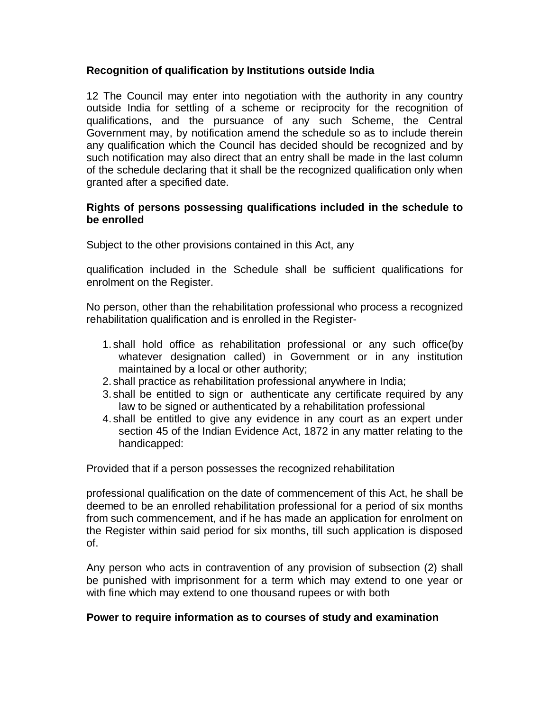## **Recognition of qualification by Institutions outside India**

12 The Council may enter into negotiation with the authority in any country outside India for settling of a scheme or reciprocity for the recognition of qualifications, and the pursuance of any such Scheme, the Central Government may, by notification amend the schedule so as to include therein any qualification which the Council has decided should be recognized and by such notification may also direct that an entry shall be made in the last column of the schedule declaring that it shall be the recognized qualification only when granted after a specified date.

#### **Rights of persons possessing qualifications included in the schedule to be enrolled**

Subject to the other provisions contained in this Act, any

qualification included in the Schedule shall be sufficient qualifications for enrolment on the Register.

No person, other than the rehabilitation professional who process a recognized rehabilitation qualification and is enrolled in the Register-

- 1. shall hold office as rehabilitation professional or any such office(by whatever designation called) in Government or in any institution maintained by a local or other authority;
- 2. shall practice as rehabilitation professional anywhere in India;
- 3. shall be entitled to sign or authenticate any certificate required by any law to be signed or authenticated by a rehabilitation professional
- 4. shall be entitled to give any evidence in any court as an expert under section 45 of the Indian Evidence Act, 1872 in any matter relating to the handicapped:

Provided that if a person possesses the recognized rehabilitation

professional qualification on the date of commencement of this Act, he shall be deemed to be an enrolled rehabilitation professional for a period of six months from such commencement, and if he has made an application for enrolment on the Register within said period for six months, till such application is disposed of.

Any person who acts in contravention of any provision of subsection (2) shall be punished with imprisonment for a term which may extend to one year or with fine which may extend to one thousand rupees or with both

### **Power to require information as to courses of study and examination**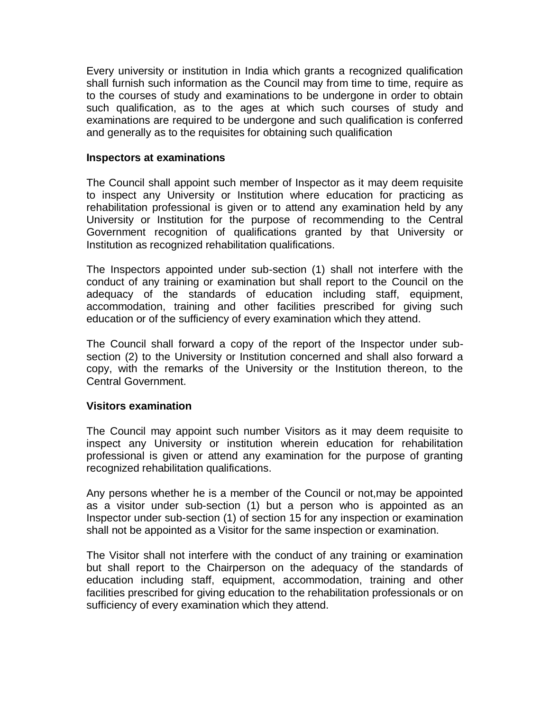Every university or institution in India which grants a recognized qualification shall furnish such information as the Council may from time to time, require as to the courses of study and examinations to be undergone in order to obtain such qualification, as to the ages at which such courses of study and examinations are required to be undergone and such qualification is conferred and generally as to the requisites for obtaining such qualification

#### **Inspectors at examinations**

The Council shall appoint such member of Inspector as it may deem requisite to inspect any University or Institution where education for practicing as rehabilitation professional is given or to attend any examination held by any University or Institution for the purpose of recommending to the Central Government recognition of qualifications granted by that University or Institution as recognized rehabilitation qualifications.

The Inspectors appointed under sub-section (1) shall not interfere with the conduct of any training or examination but shall report to the Council on the adequacy of the standards of education including staff, equipment, accommodation, training and other facilities prescribed for giving such education or of the sufficiency of every examination which they attend.

The Council shall forward a copy of the report of the Inspector under subsection (2) to the University or Institution concerned and shall also forward a copy, with the remarks of the University or the Institution thereon, to the Central Government.

### **Visitors examination**

The Council may appoint such number Visitors as it may deem requisite to inspect any University or institution wherein education for rehabilitation professional is given or attend any examination for the purpose of granting recognized rehabilitation qualifications.

Any persons whether he is a member of the Council or not,may be appointed as a visitor under sub-section (1) but a person who is appointed as an Inspector under sub-section (1) of section 15 for any inspection or examination shall not be appointed as a Visitor for the same inspection or examination.

The Visitor shall not interfere with the conduct of any training or examination but shall report to the Chairperson on the adequacy of the standards of education including staff, equipment, accommodation, training and other facilities prescribed for giving education to the rehabilitation professionals or on sufficiency of every examination which they attend.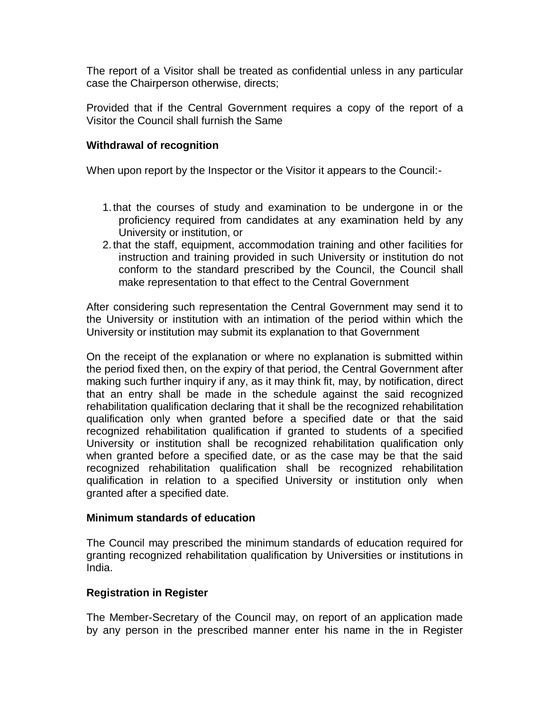The report of a Visitor shall be treated as confidential unless in any particular case the Chairperson otherwise, directs;

Provided that if the Central Government requires a copy of the report of a Visitor the Council shall furnish the Same

### **Withdrawal of recognition**

When upon report by the Inspector or the Visitor it appears to the Council:-

- 1. that the courses of study and examination to be undergone in or the proficiency required from candidates at any examination held by any University or institution, or
- 2. that the staff, equipment, accommodation training and other facilities for instruction and training provided in such University or institution do not conform to the standard prescribed by the Council, the Council shall make representation to that effect to the Central Government

After considering such representation the Central Government may send it to the University or institution with an intimation of the period within which the University or institution may submit its explanation to that Government

On the receipt of the explanation or where no explanation is submitted within the period fixed then, on the expiry of that period, the Central Government after making such further inquiry if any, as it may think fit, may, by notification, direct that an entry shall be made in the schedule against the said recognized rehabilitation qualification declaring that it shall be the recognized rehabilitation qualification only when granted before a specified date or that the said recognized rehabilitation qualification if granted to students of a specified University or institution shall be recognized rehabilitation qualification only when granted before a specified date, or as the case may be that the said recognized rehabilitation qualification shall be recognized rehabilitation qualification in relation to a specified University or institution only when granted after a specified date.

### **Minimum standards of education**

The Council may prescribed the minimum standards of education required for granting recognized rehabilitation qualification by Universities or institutions in India.

## **Registration in Register**

The Member-Secretary of the Council may, on report of an application made by any person in the prescribed manner enter his name in the in Register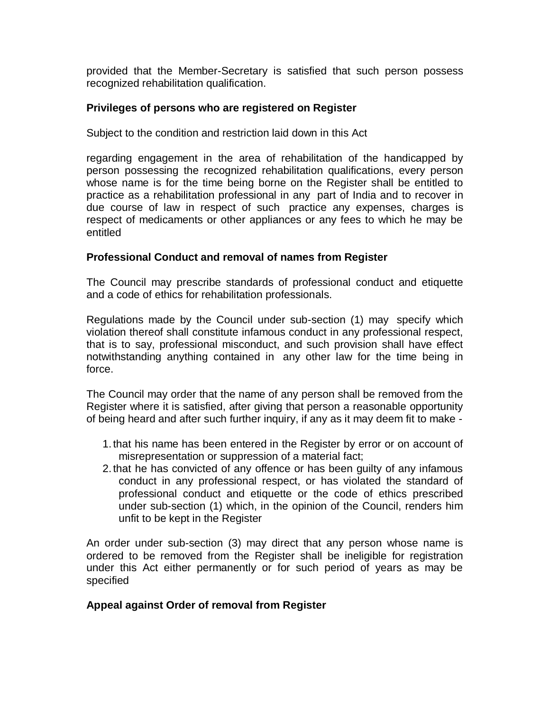provided that the Member-Secretary is satisfied that such person possess recognized rehabilitation qualification.

### **Privileges of persons who are registered on Register**

Subject to the condition and restriction laid down in this Act

regarding engagement in the area of rehabilitation of the handicapped by person possessing the recognized rehabilitation qualifications, every person whose name is for the time being borne on the Register shall be entitled to practice as a rehabilitation professional in any part of India and to recover in due course of law in respect of such practice any expenses, charges is respect of medicaments or other appliances or any fees to which he may be entitled

#### **Professional Conduct and removal of names from Register**

The Council may prescribe standards of professional conduct and etiquette and a code of ethics for rehabilitation professionals.

Regulations made by the Council under sub-section (1) may specify which violation thereof shall constitute infamous conduct in any professional respect, that is to say, professional misconduct, and such provision shall have effect notwithstanding anything contained in any other law for the time being in force.

The Council may order that the name of any person shall be removed from the Register where it is satisfied, after giving that person a reasonable opportunity of being heard and after such further inquiry, if any as it may deem fit to make -

- 1. that his name has been entered in the Register by error or on account of misrepresentation or suppression of a material fact;
- 2. that he has convicted of any offence or has been guilty of any infamous conduct in any professional respect, or has violated the standard of professional conduct and etiquette or the code of ethics prescribed under sub-section (1) which, in the opinion of the Council, renders him unfit to be kept in the Register

An order under sub-section (3) may direct that any person whose name is ordered to be removed from the Register shall be ineligible for registration under this Act either permanently or for such period of years as may be specified

#### **Appeal against Order of removal from Register**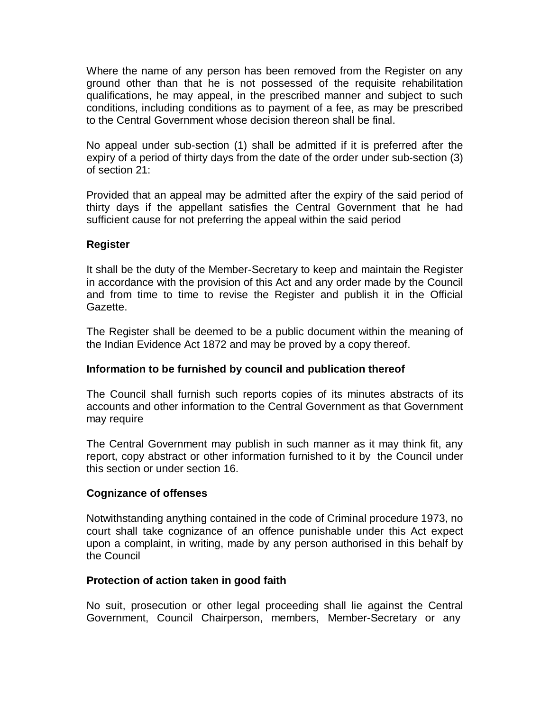Where the name of any person has been removed from the Register on any ground other than that he is not possessed of the requisite rehabilitation qualifications, he may appeal, in the prescribed manner and subject to such conditions, including conditions as to payment of a fee, as may be prescribed to the Central Government whose decision thereon shall be final.

No appeal under sub-section (1) shall be admitted if it is preferred after the expiry of a period of thirty days from the date of the order under sub-section (3) of section 21:

Provided that an appeal may be admitted after the expiry of the said period of thirty days if the appellant satisfies the Central Government that he had sufficient cause for not preferring the appeal within the said period

## **Register**

It shall be the duty of the Member-Secretary to keep and maintain the Register in accordance with the provision of this Act and any order made by the Council and from time to time to revise the Register and publish it in the Official Gazette.

The Register shall be deemed to be a public document within the meaning of the Indian Evidence Act 1872 and may be proved by a copy thereof.

### **Information to be furnished by council and publication thereof**

The Council shall furnish such reports copies of its minutes abstracts of its accounts and other information to the Central Government as that Government may require

The Central Government may publish in such manner as it may think fit, any report, copy abstract or other information furnished to it by the Council under this section or under section 16.

## **Cognizance of offenses**

Notwithstanding anything contained in the code of Criminal procedure 1973, no court shall take cognizance of an offence punishable under this Act expect upon a complaint, in writing, made by any person authorised in this behalf by the Council

### **Protection of action taken in good faith**

No suit, prosecution or other legal proceeding shall lie against the Central Government, Council Chairperson, members, Member-Secretary or any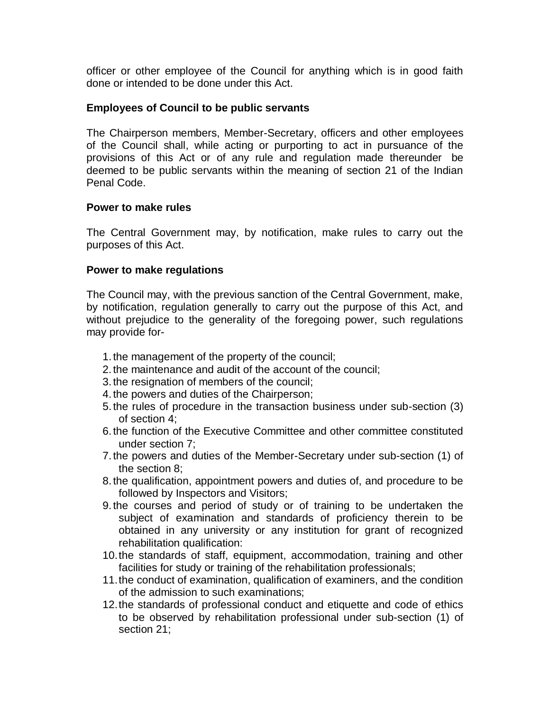officer or other employee of the Council for anything which is in good faith done or intended to be done under this Act.

#### **Employees of Council to be public servants**

The Chairperson members, Member-Secretary, officers and other employees of the Council shall, while acting or purporting to act in pursuance of the provisions of this Act or of any rule and regulation made thereunder be deemed to be public servants within the meaning of section 21 of the Indian Penal Code.

#### **Power to make rules**

The Central Government may, by notification, make rules to carry out the purposes of this Act.

#### **Power to make regulations**

The Council may, with the previous sanction of the Central Government, make, by notification, regulation generally to carry out the purpose of this Act, and without prejudice to the generality of the foregoing power, such regulations may provide for-

- 1. the management of the property of the council;
- 2. the maintenance and audit of the account of the council;
- 3. the resignation of members of the council;
- 4. the powers and duties of the Chairperson;
- 5. the rules of procedure in the transaction business under sub-section (3) of section 4;
- 6. the function of the Executive Committee and other committee constituted under section 7;
- 7. the powers and duties of the Member-Secretary under sub-section (1) of the section 8;
- 8. the qualification, appointment powers and duties of, and procedure to be followed by Inspectors and Visitors;
- 9. the courses and period of study or of training to be undertaken the subject of examination and standards of proficiency therein to be obtained in any university or any institution for grant of recognized rehabilitation qualification:
- 10.the standards of staff, equipment, accommodation, training and other facilities for study or training of the rehabilitation professionals;
- 11.the conduct of examination, qualification of examiners, and the condition of the admission to such examinations;
- 12.the standards of professional conduct and etiquette and code of ethics to be observed by rehabilitation professional under sub-section (1) of section 21;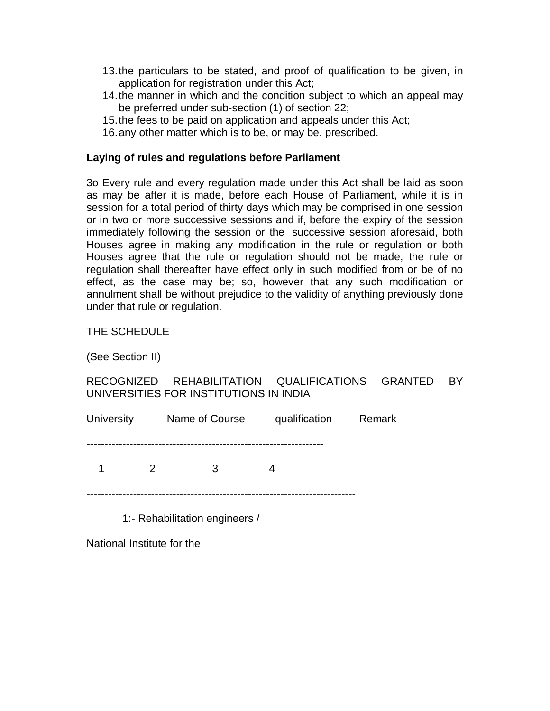- 13.the particulars to be stated, and proof of qualification to be given, in application for registration under this Act;
- 14.the manner in which and the condition subject to which an appeal may be preferred under sub-section (1) of section 22;
- 15.the fees to be paid on application and appeals under this Act;
- 16.any other matter which is to be, or may be, prescribed.

### **Laying of rules and regulations before Parliament**

3o Every rule and every regulation made under this Act shall be laid as soon as may be after it is made, before each House of Parliament, while it is in session for a total period of thirty days which may be comprised in one session or in two or more successive sessions and if, before the expiry of the session immediately following the session or the successive session aforesaid, both Houses agree in making any modification in the rule or regulation or both Houses agree that the rule or regulation should not be made, the rule or regulation shall thereafter have effect only in such modified from or be of no effect, as the case may be; so, however that any such modification or annulment shall be without prejudice to the validity of anything previously done under that rule or regulation.

THE SCHEDULE

(See Section II)

RECOGNIZED REHABILITATION QUALIFICATIONS GRANTED BY UNIVERSITIES FOR INSTITUTIONS IN INDIA

| University |   | Name of Course | qualification Remark |
|------------|---|----------------|----------------------|
|            | 2 | 3              |                      |

---------------------------------------------------------------------------

1:- Rehabilitation engineers /

National Institute for the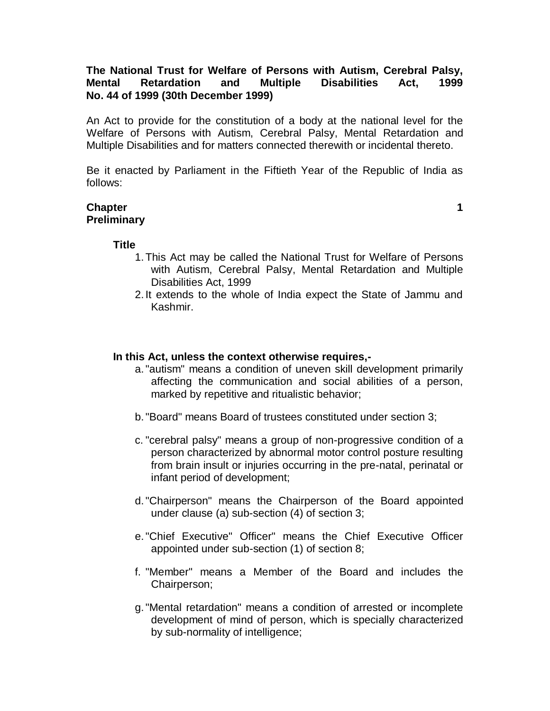### **The National Trust for Welfare of Persons with Autism, Cerebral Palsy, Mental Retardation and Multiple Disabilities Act, 1999 No. 44 of 1999 (30th December 1999)**

An Act to provide for the constitution of a body at the national level for the Welfare of Persons with Autism, Cerebral Palsy, Mental Retardation and Multiple Disabilities and for matters connected therewith or incidental thereto.

Be it enacted by Parliament in the Fiftieth Year of the Republic of India as follows:

#### **Chapter** 1 **1 Preliminary**

## **Title**

- 1.This Act may be called the National Trust for Welfare of Persons with Autism, Cerebral Palsy, Mental Retardation and Multiple Disabilities Act, 1999
- 2. It extends to the whole of India expect the State of Jammu and Kashmir.

### **In this Act, unless the context otherwise requires,-**

- a."autism" means a condition of uneven skill development primarily affecting the communication and social abilities of a person, marked by repetitive and ritualistic behavior;
- b."Board" means Board of trustees constituted under section 3;
- c. "cerebral palsy" means a group of non-progressive condition of a person characterized by abnormal motor control posture resulting from brain insult or injuries occurring in the pre-natal, perinatal or infant period of development;
- d."Chairperson" means the Chairperson of the Board appointed under clause (a) sub-section (4) of section 3;
- e."Chief Executive" Officer" means the Chief Executive Officer appointed under sub-section (1) of section 8;
- f. "Member" means a Member of the Board and includes the Chairperson;
- g."Mental retardation" means a condition of arrested or incomplete development of mind of person, which is specially characterized by sub-normality of intelligence;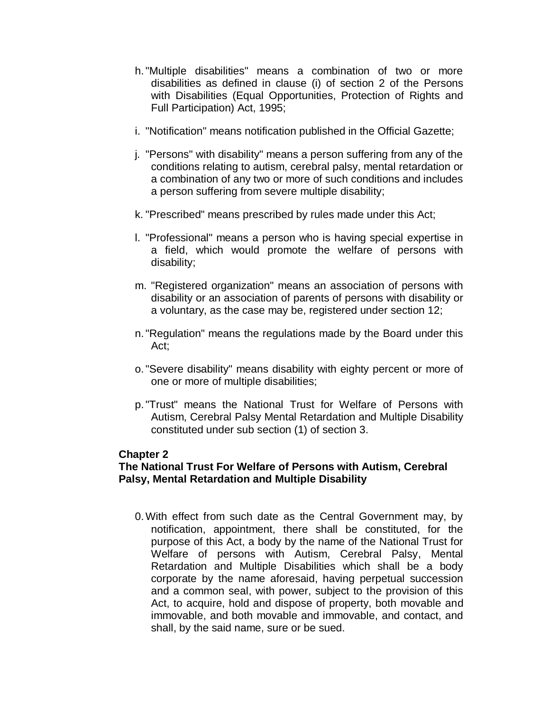- h."Multiple disabilities" means a combination of two or more disabilities as defined in clause (i) of section 2 of the Persons with Disabilities (Equal Opportunities, Protection of Rights and Full Participation) Act, 1995;
- i. "Notification" means notification published in the Official Gazette;
- j. "Persons" with disability" means a person suffering from any of the conditions relating to autism, cerebral palsy, mental retardation or a combination of any two or more of such conditions and includes a person suffering from severe multiple disability;
- k. "Prescribed" means prescribed by rules made under this Act;
- l. "Professional" means a person who is having special expertise in a field, which would promote the welfare of persons with disability;
- m. "Registered organization" means an association of persons with disability or an association of parents of persons with disability or a voluntary, as the case may be, registered under section 12;
- n."Regulation" means the regulations made by the Board under this Act;
- o."Severe disability" means disability with eighty percent or more of one or more of multiple disabilities;
- p."Trust" means the National Trust for Welfare of Persons with Autism, Cerebral Palsy Mental Retardation and Multiple Disability constituted under sub section (1) of section 3.

## **Chapter 2**

## **The National Trust For Welfare of Persons with Autism, Cerebral Palsy, Mental Retardation and Multiple Disability**

0.With effect from such date as the Central Government may, by notification, appointment, there shall be constituted, for the purpose of this Act, a body by the name of the National Trust for Welfare of persons with Autism, Cerebral Palsy, Mental Retardation and Multiple Disabilities which shall be a body corporate by the name aforesaid, having perpetual succession and a common seal, with power, subject to the provision of this Act, to acquire, hold and dispose of property, both movable and immovable, and both movable and immovable, and contact, and shall, by the said name, sure or be sued.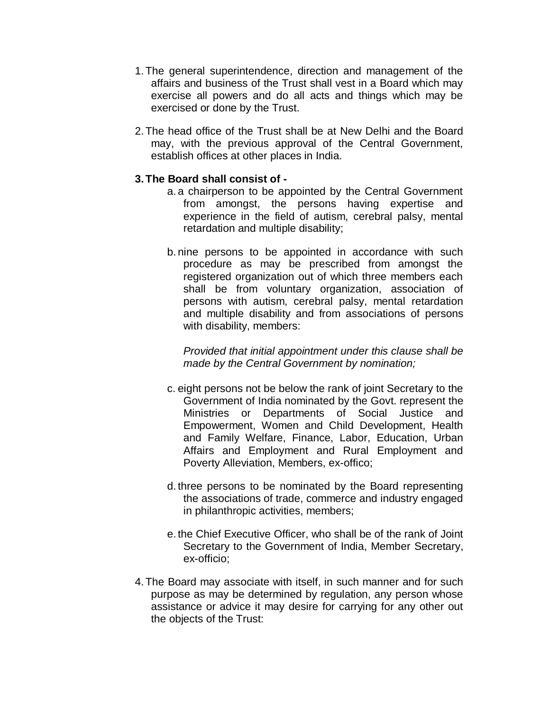- 1.The general superintendence, direction and management of the affairs and business of the Trust shall vest in a Board which may exercise all powers and do all acts and things which may be exercised or done by the Trust.
- 2.The head office of the Trust shall be at New Delhi and the Board may, with the previous approval of the Central Government, establish offices at other places in India.

### **3.The Board shall consist of -**

- a. a chairperson to be appointed by the Central Government from amongst, the persons having expertise and experience in the field of autism, cerebral palsy, mental retardation and multiple disability;
- b. nine persons to be appointed in accordance with such procedure as may be prescribed from amongst the registered organization out of which three members each shall be from voluntary organization, association of persons with autism, cerebral palsy, mental retardation and multiple disability and from associations of persons with disability, members:

*Provided that initial appointment under this clause shall be made by the Central Government by nomination;*

- c. eight persons not be below the rank of joint Secretary to the Government of India nominated by the Govt. represent the Ministries or Departments of Social Justice and Empowerment, Women and Child Development, Health and Family Welfare, Finance, Labor, Education, Urban Affairs and Employment and Rural Employment and Poverty Alleviation, Members, ex-offico;
- d. three persons to be nominated by the Board representing the associations of trade, commerce and industry engaged in philanthropic activities, members;
- e. the Chief Executive Officer, who shall be of the rank of Joint Secretary to the Government of India, Member Secretary, ex-officio;
- 4.The Board may associate with itself, in such manner and for such purpose as may be determined by regulation, any person whose assistance or advice it may desire for carrying for any other out the objects of the Trust: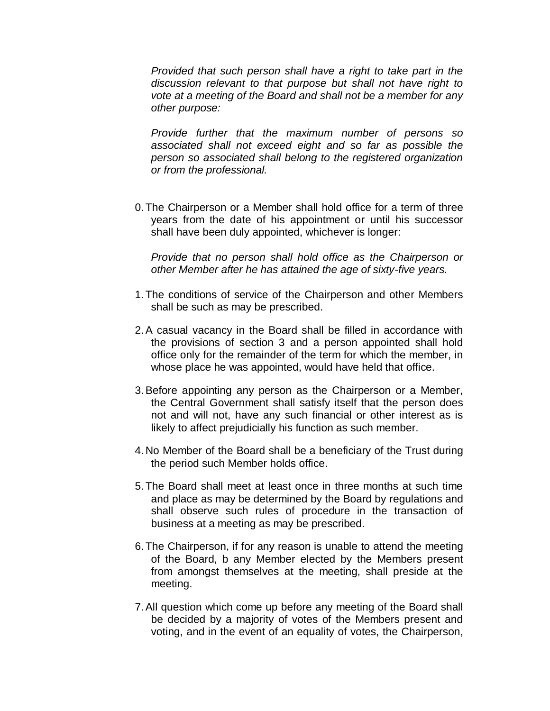*Provided that such person shall have a right to take part in the discussion relevant to that purpose but shall not have right to vote at a meeting of the Board and shall not be a member for any other purpose:*

*Provide further that the maximum number of persons so associated shall not exceed eight and so far as possible the person so associated shall belong to the registered organization or from the professional.*

0.The Chairperson or a Member shall hold office for a term of three years from the date of his appointment or until his successor shall have been duly appointed, whichever is longer:

*Provide that no person shall hold office as the Chairperson or other Member after he has attained the age of sixty-five years.*

- 1.The conditions of service of the Chairperson and other Members shall be such as may be prescribed.
- 2.A casual vacancy in the Board shall be filled in accordance with the provisions of section 3 and a person appointed shall hold office only for the remainder of the term for which the member, in whose place he was appointed, would have held that office.
- 3.Before appointing any person as the Chairperson or a Member, the Central Government shall satisfy itself that the person does not and will not, have any such financial or other interest as is likely to affect prejudicially his function as such member.
- 4.No Member of the Board shall be a beneficiary of the Trust during the period such Member holds office.
- 5.The Board shall meet at least once in three months at such time and place as may be determined by the Board by regulations and shall observe such rules of procedure in the transaction of business at a meeting as may be prescribed.
- 6.The Chairperson, if for any reason is unable to attend the meeting of the Board, b any Member elected by the Members present from amongst themselves at the meeting, shall preside at the meeting.
- 7.All question which come up before any meeting of the Board shall be decided by a majority of votes of the Members present and voting, and in the event of an equality of votes, the Chairperson,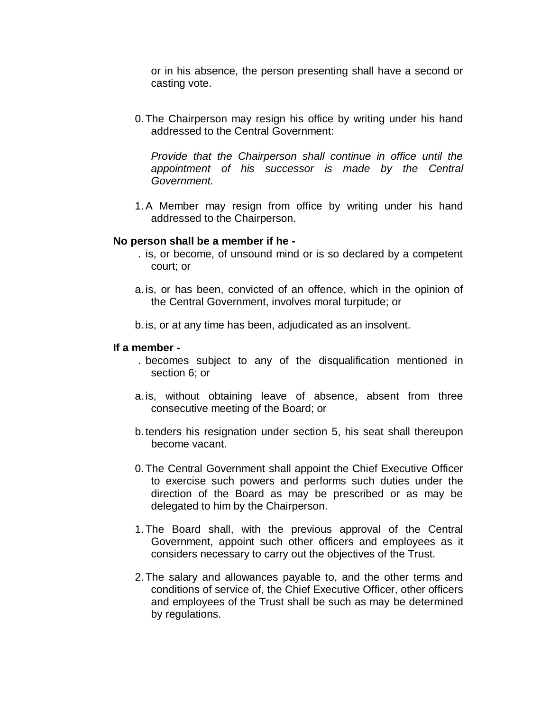or in his absence, the person presenting shall have a second or casting vote.

0.The Chairperson may resign his office by writing under his hand addressed to the Central Government:

*Provide that the Chairperson shall continue in office until the appointment of his successor is made by the Central Government.* 

1.A Member may resign from office by writing under his hand addressed to the Chairperson.

#### **No person shall be a member if he -**

- . is, or become, of unsound mind or is so declared by a competent court; or
- a. is, or has been, convicted of an offence, which in the opinion of the Central Government, involves moral turpitude; or
- b. is, or at any time has been, adjudicated as an insolvent.

#### **If a member -**

- . becomes subject to any of the disqualification mentioned in section 6; or
- a. is, without obtaining leave of absence, absent from three consecutive meeting of the Board; or
- b. tenders his resignation under section 5, his seat shall thereupon become vacant.
- 0.The Central Government shall appoint the Chief Executive Officer to exercise such powers and performs such duties under the direction of the Board as may be prescribed or as may be delegated to him by the Chairperson.
- 1.The Board shall, with the previous approval of the Central Government, appoint such other officers and employees as it considers necessary to carry out the objectives of the Trust.
- 2.The salary and allowances payable to, and the other terms and conditions of service of, the Chief Executive Officer, other officers and employees of the Trust shall be such as may be determined by regulations.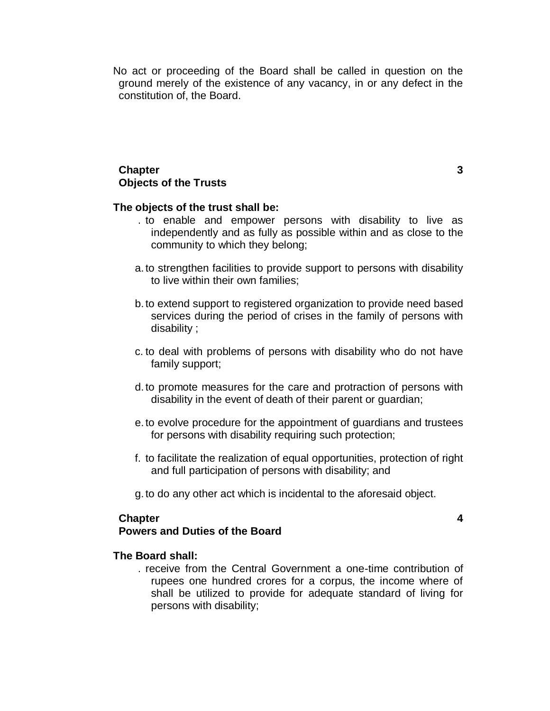No act or proceeding of the Board shall be called in question on the ground merely of the existence of any vacancy, in or any defect in the constitution of, the Board.

## **Chapter** 3 **Objects of the Trusts**

#### **The objects of the trust shall be:**

- . to enable and empower persons with disability to live as independently and as fully as possible within and as close to the community to which they belong;
- a. to strengthen facilities to provide support to persons with disability to live within their own families;
- b. to extend support to registered organization to provide need based services during the period of crises in the family of persons with disability ;
- c. to deal with problems of persons with disability who do not have family support;
- d. to promote measures for the care and protraction of persons with disability in the event of death of their parent or guardian;
- e. to evolve procedure for the appointment of guardians and trustees for persons with disability requiring such protection;
- f. to facilitate the realization of equal opportunities, protection of right and full participation of persons with disability; and
- g. to do any other act which is incidental to the aforesaid object.

#### **Chapter** 4

### **Powers and Duties of the Board**

### **The Board shall:**

. receive from the Central Government a one-time contribution of rupees one hundred crores for a corpus, the income where of shall be utilized to provide for adequate standard of living for persons with disability;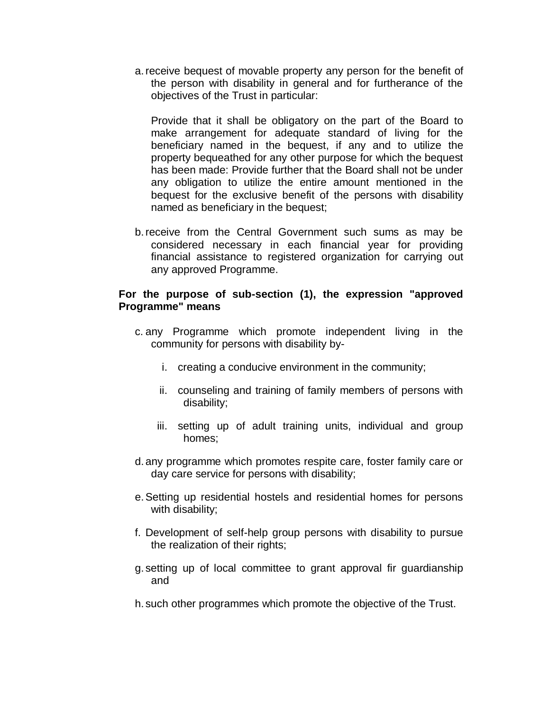a.receive bequest of movable property any person for the benefit of the person with disability in general and for furtherance of the objectives of the Trust in particular:

Provide that it shall be obligatory on the part of the Board to make arrangement for adequate standard of living for the beneficiary named in the bequest, if any and to utilize the property bequeathed for any other purpose for which the bequest has been made: Provide further that the Board shall not be under any obligation to utilize the entire amount mentioned in the bequest for the exclusive benefit of the persons with disability named as beneficiary in the bequest;

b.receive from the Central Government such sums as may be considered necessary in each financial year for providing financial assistance to registered organization for carrying out any approved Programme.

#### **For the purpose of sub-section (1), the expression "approved Programme" means**

- c. any Programme which promote independent living in the community for persons with disability by
	- i. creating a conducive environment in the community;
	- ii. counseling and training of family members of persons with disability;
	- iii. setting up of adult training units, individual and group homes;
- d. any programme which promotes respite care, foster family care or day care service for persons with disability;
- e.Setting up residential hostels and residential homes for persons with disability;
- f. Development of self-help group persons with disability to pursue the realization of their rights;
- g. setting up of local committee to grant approval fir guardianship and
- h. such other programmes which promote the objective of the Trust.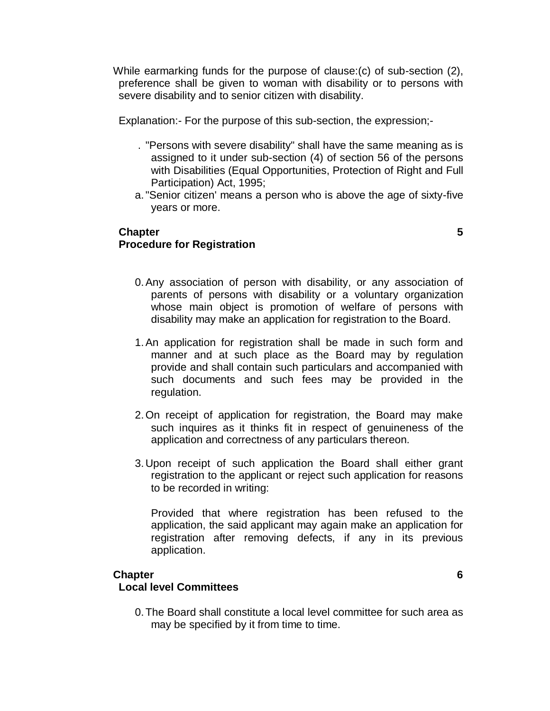While earmarking funds for the purpose of clause:(c) of sub-section (2), preference shall be given to woman with disability or to persons with severe disability and to senior citizen with disability.

Explanation:- For the purpose of this sub-section, the expression;-

- . "Persons with severe disability" shall have the same meaning as is assigned to it under sub-section (4) of section 56 of the persons with Disabilities (Equal Opportunities, Protection of Right and Full Participation) Act, 1995;
- a."Senior citizen' means a person who is above the age of sixty-five years or more.

## **Chapter** 5 **Procedure for Registration**

- 0.Any association of person with disability, or any association of parents of persons with disability or a voluntary organization whose main object is promotion of welfare of persons with disability may make an application for registration to the Board.
- 1.An application for registration shall be made in such form and manner and at such place as the Board may by regulation provide and shall contain such particulars and accompanied with such documents and such fees may be provided in the regulation.
- 2.On receipt of application for registration, the Board may make such inquires as it thinks fit in respect of genuineness of the application and correctness of any particulars thereon.
- 3.Upon receipt of such application the Board shall either grant registration to the applicant or reject such application for reasons to be recorded in writing:

Provided that where registration has been refused to the application, the said applicant may again make an application for registration after removing defects, if any in its previous application.

## **Chapter** 6 **6**

# **Local level Committees**

0.The Board shall constitute a local level committee for such area as may be specified by it from time to time.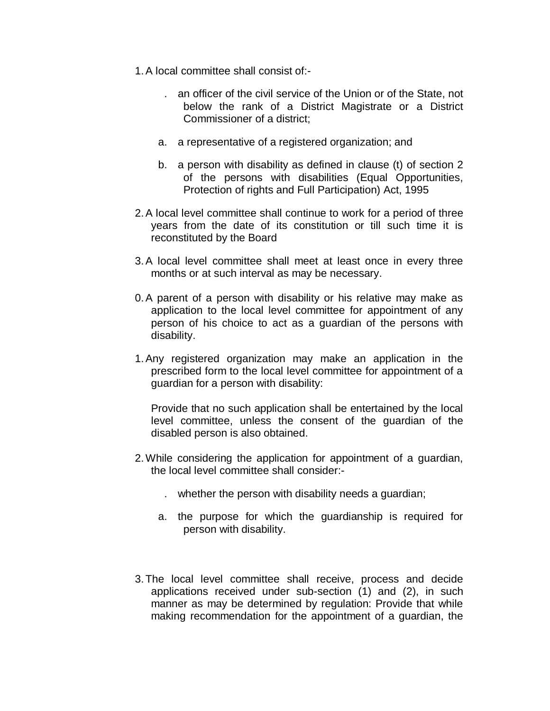- 1.A local committee shall consist of:-
	- . an officer of the civil service of the Union or of the State, not below the rank of a District Magistrate or a District Commissioner of a district;
	- a. a representative of a registered organization; and
	- b. a person with disability as defined in clause (t) of section 2 of the persons with disabilities (Equal Opportunities, Protection of rights and Full Participation) Act, 1995
- 2.A local level committee shall continue to work for a period of three years from the date of its constitution or till such time it is reconstituted by the Board
- 3.A local level committee shall meet at least once in every three months or at such interval as may be necessary.
- 0.A parent of a person with disability or his relative may make as application to the local level committee for appointment of any person of his choice to act as a guardian of the persons with disability.
- 1.Any registered organization may make an application in the prescribed form to the local level committee for appointment of a guardian for a person with disability:

Provide that no such application shall be entertained by the local level committee, unless the consent of the guardian of the disabled person is also obtained.

- 2.While considering the application for appointment of a guardian, the local level committee shall consider:-
	- . whether the person with disability needs a guardian;
	- a. the purpose for which the guardianship is required for person with disability.
- 3.The local level committee shall receive, process and decide applications received under sub-section (1) and (2), in such manner as may be determined by regulation: Provide that while making recommendation for the appointment of a guardian, the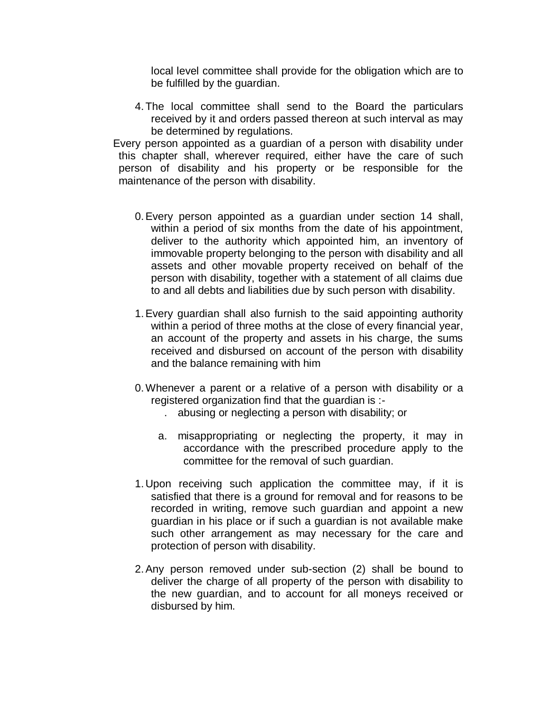local level committee shall provide for the obligation which are to be fulfilled by the guardian.

4.The local committee shall send to the Board the particulars received by it and orders passed thereon at such interval as may be determined by regulations.

Every person appointed as a guardian of a person with disability under this chapter shall, wherever required, either have the care of such person of disability and his property or be responsible for the maintenance of the person with disability.

- 0.Every person appointed as a guardian under section 14 shall, within a period of six months from the date of his appointment, deliver to the authority which appointed him, an inventory of immovable property belonging to the person with disability and all assets and other movable property received on behalf of the person with disability, together with a statement of all claims due to and all debts and liabilities due by such person with disability.
- 1.Every guardian shall also furnish to the said appointing authority within a period of three moths at the close of every financial year, an account of the property and assets in his charge, the sums received and disbursed on account of the person with disability and the balance remaining with him
- 0.Whenever a parent or a relative of a person with disability or a registered organization find that the guardian is :-
	- . abusing or neglecting a person with disability; or
	- a. misappropriating or neglecting the property, it may in accordance with the prescribed procedure apply to the committee for the removal of such guardian.
- 1.Upon receiving such application the committee may, if it is satisfied that there is a ground for removal and for reasons to be recorded in writing, remove such guardian and appoint a new guardian in his place or if such a guardian is not available make such other arrangement as may necessary for the care and protection of person with disability.
- 2.Any person removed under sub-section (2) shall be bound to deliver the charge of all property of the person with disability to the new guardian, and to account for all moneys received or disbursed by him.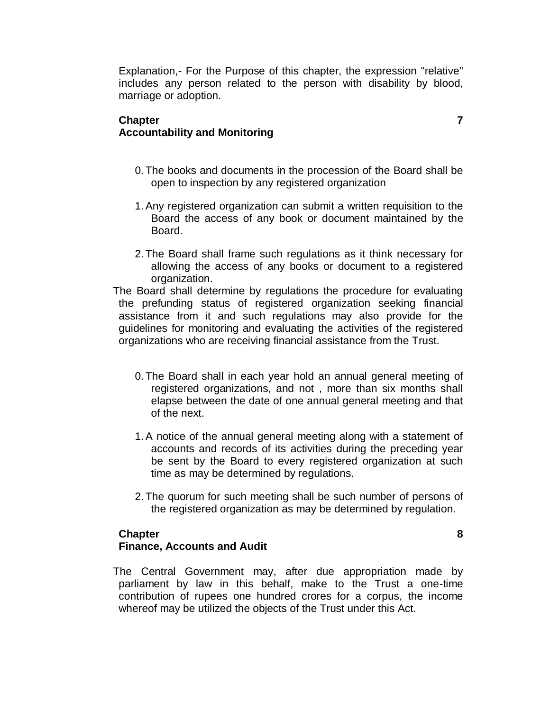Explanation,- For the Purpose of this chapter, the expression "relative" includes any person related to the person with disability by blood, marriage or adoption.

## **Chapter 7 Chapter** 7 **Accountability and Monitoring**

- 0.The books and documents in the procession of the Board shall be open to inspection by any registered organization
- 1.Any registered organization can submit a written requisition to the Board the access of any book or document maintained by the Board.
- 2.The Board shall frame such regulations as it think necessary for allowing the access of any books or document to a registered organization.

The Board shall determine by regulations the procedure for evaluating the prefunding status of registered organization seeking financial assistance from it and such regulations may also provide for the guidelines for monitoring and evaluating the activities of the registered organizations who are receiving financial assistance from the Trust.

- 0.The Board shall in each year hold an annual general meeting of registered organizations, and not , more than six months shall elapse between the date of one annual general meeting and that of the next.
- 1.A notice of the annual general meeting along with a statement of accounts and records of its activities during the preceding year be sent by the Board to every registered organization at such time as may be determined by regulations.
- 2.The quorum for such meeting shall be such number of persons of the registered organization as may be determined by regulation.

#### **Chapter** 8 **Finance, Accounts and Audit**

The Central Government may, after due appropriation made by parliament by law in this behalf, make to the Trust a one-time contribution of rupees one hundred crores for a corpus, the income whereof may be utilized the objects of the Trust under this Act.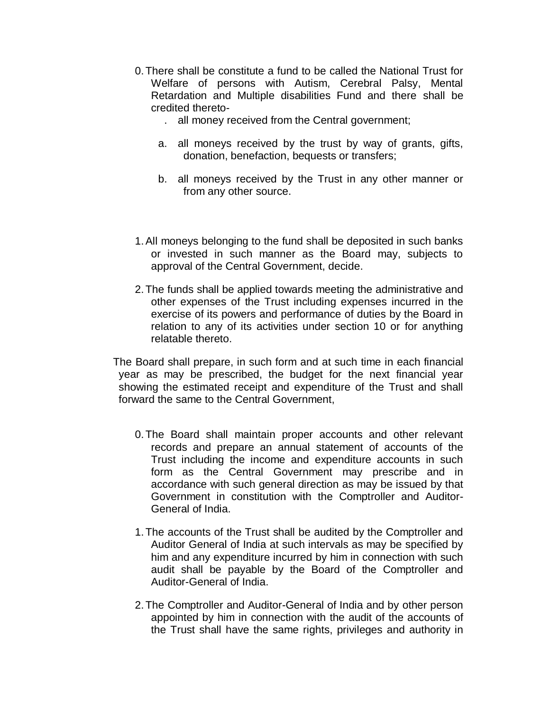- 0.There shall be constitute a fund to be called the National Trust for Welfare of persons with Autism, Cerebral Palsy, Mental Retardation and Multiple disabilities Fund and there shall be credited thereto-
	- . all money received from the Central government;
	- a. all moneys received by the trust by way of grants, gifts, donation, benefaction, bequests or transfers;
	- b. all moneys received by the Trust in any other manner or from any other source.
- 1.All moneys belonging to the fund shall be deposited in such banks or invested in such manner as the Board may, subjects to approval of the Central Government, decide.
- 2.The funds shall be applied towards meeting the administrative and other expenses of the Trust including expenses incurred in the exercise of its powers and performance of duties by the Board in relation to any of its activities under section 10 or for anything relatable thereto.

The Board shall prepare, in such form and at such time in each financial year as may be prescribed, the budget for the next financial year showing the estimated receipt and expenditure of the Trust and shall forward the same to the Central Government,

- 0.The Board shall maintain proper accounts and other relevant records and prepare an annual statement of accounts of the Trust including the income and expenditure accounts in such form as the Central Government may prescribe and in accordance with such general direction as may be issued by that Government in constitution with the Comptroller and Auditor-General of India.
- 1.The accounts of the Trust shall be audited by the Comptroller and Auditor General of India at such intervals as may be specified by him and any expenditure incurred by him in connection with such audit shall be payable by the Board of the Comptroller and Auditor-General of India.
- 2.The Comptroller and Auditor-General of India and by other person appointed by him in connection with the audit of the accounts of the Trust shall have the same rights, privileges and authority in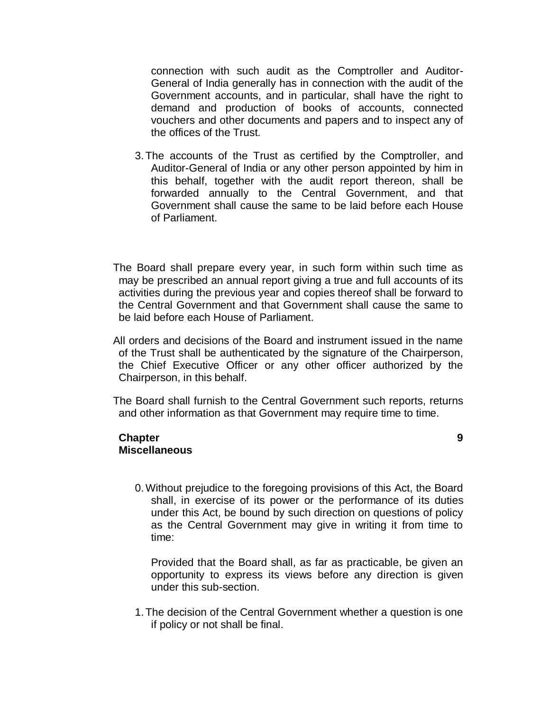connection with such audit as the Comptroller and Auditor-General of India generally has in connection with the audit of the Government accounts, and in particular, shall have the right to demand and production of books of accounts, connected vouchers and other documents and papers and to inspect any of the offices of the Trust.

- 3.The accounts of the Trust as certified by the Comptroller, and Auditor-General of India or any other person appointed by him in this behalf, together with the audit report thereon, shall be forwarded annually to the Central Government, and that Government shall cause the same to be laid before each House of Parliament.
- The Board shall prepare every year, in such form within such time as may be prescribed an annual report giving a true and full accounts of its activities during the previous year and copies thereof shall be forward to the Central Government and that Government shall cause the same to be laid before each House of Parliament.
- All orders and decisions of the Board and instrument issued in the name of the Trust shall be authenticated by the signature of the Chairperson, the Chief Executive Officer or any other officer authorized by the Chairperson, in this behalf.

The Board shall furnish to the Central Government such reports, returns and other information as that Government may require time to time.

#### **Chapter 9 Miscellaneous**

0.Without prejudice to the foregoing provisions of this Act, the Board shall, in exercise of its power or the performance of its duties under this Act, be bound by such direction on questions of policy as the Central Government may give in writing it from time to time:

Provided that the Board shall, as far as practicable, be given an opportunity to express its views before any direction is given under this sub-section.

1.The decision of the Central Government whether a question is one if policy or not shall be final.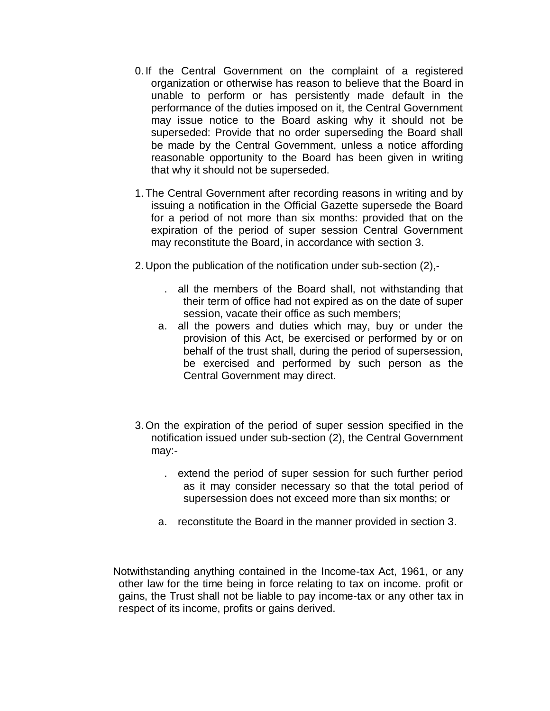- 0. If the Central Government on the complaint of a registered organization or otherwise has reason to believe that the Board in unable to perform or has persistently made default in the performance of the duties imposed on it, the Central Government may issue notice to the Board asking why it should not be superseded: Provide that no order superseding the Board shall be made by the Central Government, unless a notice affording reasonable opportunity to the Board has been given in writing that why it should not be superseded.
- 1.The Central Government after recording reasons in writing and by issuing a notification in the Official Gazette supersede the Board for a period of not more than six months: provided that on the expiration of the period of super session Central Government may reconstitute the Board, in accordance with section 3.
- 2.Upon the publication of the notification under sub-section (2),-
	- . all the members of the Board shall, not withstanding that their term of office had not expired as on the date of super session, vacate their office as such members;
	- a. all the powers and duties which may, buy or under the provision of this Act, be exercised or performed by or on behalf of the trust shall, during the period of supersession, be exercised and performed by such person as the Central Government may direct.
- 3.On the expiration of the period of super session specified in the notification issued under sub-section (2), the Central Government may:-
	- . extend the period of super session for such further period as it may consider necessary so that the total period of supersession does not exceed more than six months; or
	- a. reconstitute the Board in the manner provided in section 3.

Notwithstanding anything contained in the Income-tax Act, 1961, or any other law for the time being in force relating to tax on income. profit or gains, the Trust shall not be liable to pay income-tax or any other tax in respect of its income, profits or gains derived.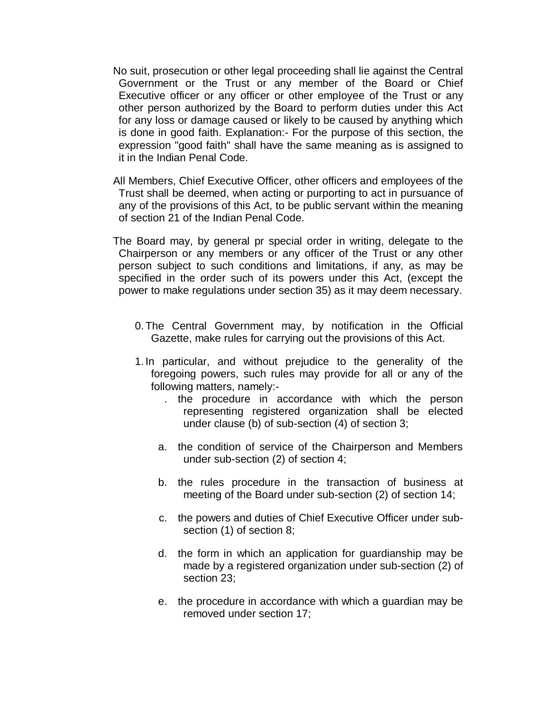No suit, prosecution or other legal proceeding shall lie against the Central Government or the Trust or any member of the Board or Chief Executive officer or any officer or other employee of the Trust or any other person authorized by the Board to perform duties under this Act for any loss or damage caused or likely to be caused by anything which is done in good faith. Explanation:- For the purpose of this section, the expression "good faith" shall have the same meaning as is assigned to it in the Indian Penal Code.

- All Members, Chief Executive Officer, other officers and employees of the Trust shall be deemed, when acting or purporting to act in pursuance of any of the provisions of this Act, to be public servant within the meaning of section 21 of the Indian Penal Code.
- The Board may, by general pr special order in writing, delegate to the Chairperson or any members or any officer of the Trust or any other person subject to such conditions and limitations, if any, as may be specified in the order such of its powers under this Act, (except the power to make regulations under section 35) as it may deem necessary.
	- 0.The Central Government may, by notification in the Official Gazette, make rules for carrying out the provisions of this Act.
	- 1. In particular, and without prejudice to the generality of the foregoing powers, such rules may provide for all or any of the following matters, namely:-
		- . the procedure in accordance with which the person representing registered organization shall be elected under clause (b) of sub-section (4) of section 3;
		- a. the condition of service of the Chairperson and Members under sub-section (2) of section 4;
		- b. the rules procedure in the transaction of business at meeting of the Board under sub-section (2) of section 14;
		- c. the powers and duties of Chief Executive Officer under subsection (1) of section 8;
		- d. the form in which an application for guardianship may be made by a registered organization under sub-section (2) of section 23;
		- e. the procedure in accordance with which a guardian may be removed under section 17;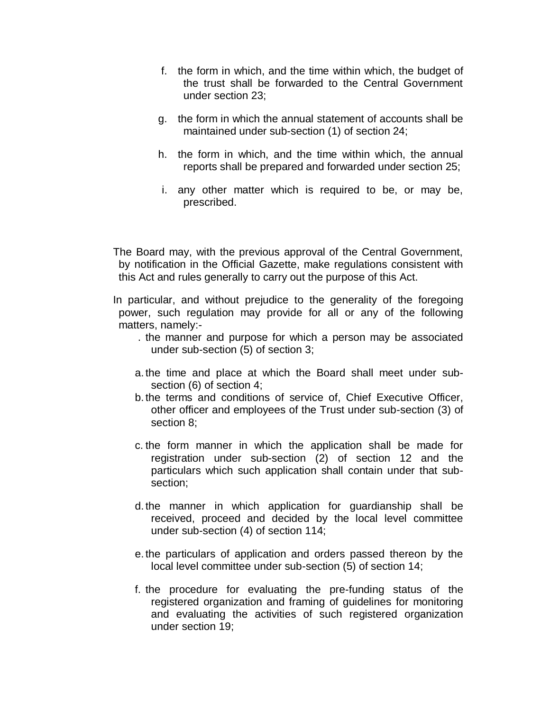- f. the form in which, and the time within which, the budget of the trust shall be forwarded to the Central Government under section 23;
- g. the form in which the annual statement of accounts shall be maintained under sub-section (1) of section 24;
- h. the form in which, and the time within which, the annual reports shall be prepared and forwarded under section 25;
- i. any other matter which is required to be, or may be, prescribed.

The Board may, with the previous approval of the Central Government, by notification in the Official Gazette, make regulations consistent with this Act and rules generally to carry out the purpose of this Act.

In particular, and without prejudice to the generality of the foregoing power, such regulation may provide for all or any of the following matters, namely:-

- . the manner and purpose for which a person may be associated under sub-section (5) of section 3;
- a. the time and place at which the Board shall meet under subsection (6) of section 4;
- b. the terms and conditions of service of, Chief Executive Officer, other officer and employees of the Trust under sub-section (3) of section 8;
- c. the form manner in which the application shall be made for registration under sub-section (2) of section 12 and the particulars which such application shall contain under that subsection;
- d. the manner in which application for guardianship shall be received, proceed and decided by the local level committee under sub-section (4) of section 114;
- e. the particulars of application and orders passed thereon by the local level committee under sub-section (5) of section 14;
- f. the procedure for evaluating the pre-funding status of the registered organization and framing of guidelines for monitoring and evaluating the activities of such registered organization under section 19;